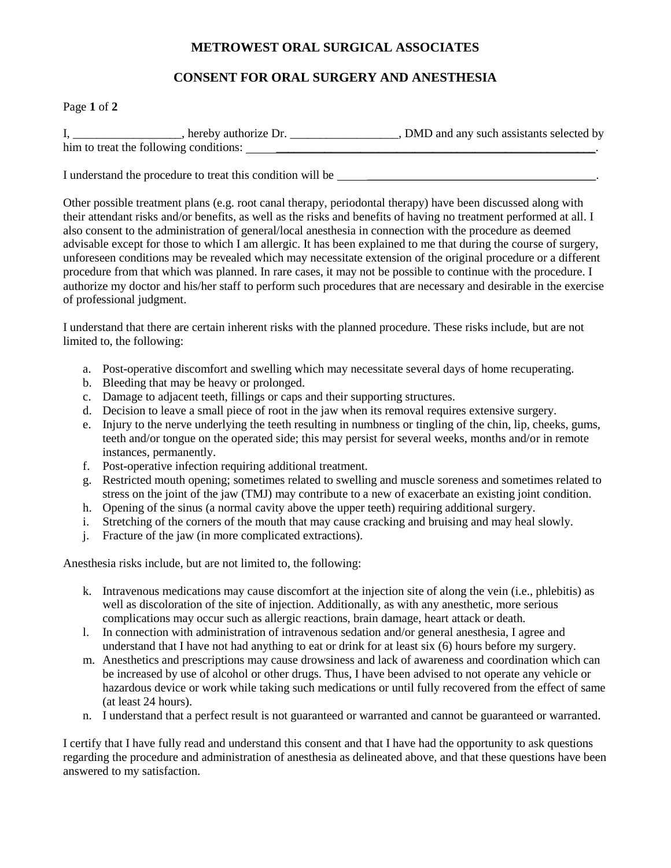## **METROWEST ORAL SURGICAL ASSOCIATES**

## **CONSENT FOR ORAL SURGERY AND ANESTHESIA**

## Page **1** of **2**

| hereby authorize Dr.                   | , DMD and any such assistants selected by |
|----------------------------------------|-------------------------------------------|
| him to treat the following conditions: |                                           |

I understand the procedure to treat this condition will be \_\_\_\_\_\_\_\_\_\_\_\_\_\_\_\_\_\_\_\_\_

Other possible treatment plans (e.g. root canal therapy, periodontal therapy) have been discussed along with their attendant risks and/or benefits, as well as the risks and benefits of having no treatment performed at all. I also consent to the administration of general/local anesthesia in connection with the procedure as deemed advisable except for those to which I am allergic. It has been explained to me that during the course of surgery, unforeseen conditions may be revealed which may necessitate extension of the original procedure or a different procedure from that which was planned. In rare cases, it may not be possible to continue with the procedure. I authorize my doctor and his/her staff to perform such procedures that are necessary and desirable in the exercise of professional judgment.

I understand that there are certain inherent risks with the planned procedure. These risks include, but are not limited to, the following:

- a. Post-operative discomfort and swelling which may necessitate several days of home recuperating.
- b. Bleeding that may be heavy or prolonged.
- c. Damage to adjacent teeth, fillings or caps and their supporting structures.
- d. Decision to leave a small piece of root in the jaw when its removal requires extensive surgery.
- e. Injury to the nerve underlying the teeth resulting in numbness or tingling of the chin, lip, cheeks, gums, teeth and/or tongue on the operated side; this may persist for several weeks, months and/or in remote instances, permanently.
- f. Post-operative infection requiring additional treatment.
- g. Restricted mouth opening; sometimes related to swelling and muscle soreness and sometimes related to stress on the joint of the jaw (TMJ) may contribute to a new of exacerbate an existing joint condition.
- h. Opening of the sinus (a normal cavity above the upper teeth) requiring additional surgery.
- i. Stretching of the corners of the mouth that may cause cracking and bruising and may heal slowly.
- j. Fracture of the jaw (in more complicated extractions).

Anesthesia risks include, but are not limited to, the following:

- k. Intravenous medications may cause discomfort at the injection site of along the vein (i.e., phlebitis) as well as discoloration of the site of injection. Additionally, as with any anesthetic, more serious complications may occur such as allergic reactions, brain damage, heart attack or death.
- l. In connection with administration of intravenous sedation and/or general anesthesia, I agree and understand that I have not had anything to eat or drink for at least six (6) hours before my surgery.
- m. Anesthetics and prescriptions may cause drowsiness and lack of awareness and coordination which can be increased by use of alcohol or other drugs. Thus, I have been advised to not operate any vehicle or hazardous device or work while taking such medications or until fully recovered from the effect of same (at least 24 hours).
- n. I understand that a perfect result is not guaranteed or warranted and cannot be guaranteed or warranted.

I certify that I have fully read and understand this consent and that I have had the opportunity to ask questions regarding the procedure and administration of anesthesia as delineated above, and that these questions have been answered to my satisfaction.